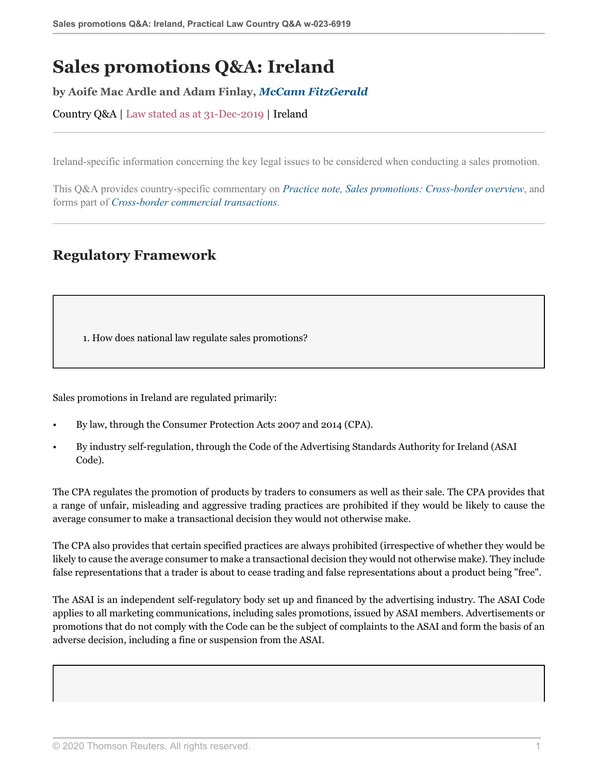# **Sales promotions Q&A: Ireland**

**by Aoife Mac Ardle and Adam Finlay,** *[McCann FitzGerald](https://uk.practicallaw.thomsonreuters.com/Browse/Home/About/Contributor/McCannFitzGerald )*

Country Q&A | Law stated as at 31-Dec-2019 | Ireland

Ireland-specific information concerning the key legal issues to be considered when conducting a sales promotion.

This Q&A provides country-specific commentary on *[Practice note, Sales promotions: Cross-border overview](http://uk.practicallaw.thomsonreuters.com/7-107-4402?originationContext=document&vr=3.0&rs=PLUK1.0&transitionType=DocumentItem&contextData=(sc.Default))*, and forms part of *[Cross-border commercial transactions](https://uk.practicallaw.thomsonreuters.com/Browse/Home/International/Crossbordercommercialtransactions )*.

## **Regulatory Framework**

1. How does national law regulate sales promotions?

Sales promotions in Ireland are regulated primarily:

- By law, through the Consumer Protection Acts 2007 and 2014 (CPA).
- By industry self-regulation, through the Code of the Advertising Standards Authority for Ireland (ASAI Code).

The CPA regulates the promotion of products by traders to consumers as well as their sale. The CPA provides that a range of unfair, misleading and aggressive trading practices are prohibited if they would be likely to cause the average consumer to make a transactional decision they would not otherwise make.

The CPA also provides that certain specified practices are always prohibited (irrespective of whether they would be likely to cause the average consumer to make a transactional decision they would not otherwise make). They include false representations that a trader is about to cease trading and false representations about a product being "free".

The ASAI is an independent self-regulatory body set up and financed by the advertising industry. The ASAI Code applies to all marketing communications, including sales promotions, issued by ASAI members. Advertisements or promotions that do not comply with the Code can be the subject of complaints to the ASAI and form the basis of an adverse decision, including a fine or suspension from the ASAI.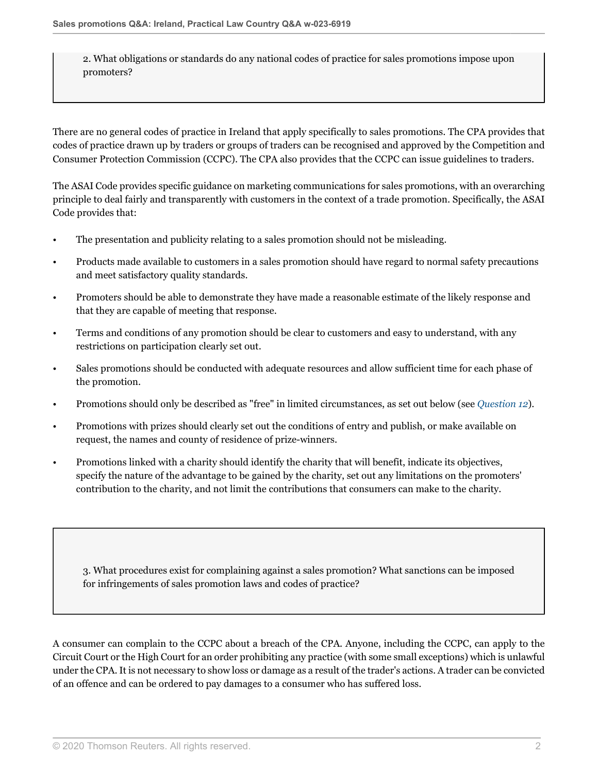2. What obligations or standards do any national codes of practice for sales promotions impose upon promoters?

There are no general codes of practice in Ireland that apply specifically to sales promotions. The CPA provides that codes of practice drawn up by traders or groups of traders can be recognised and approved by the Competition and Consumer Protection Commission (CCPC). The CPA also provides that the CCPC can issue guidelines to traders.

The ASAI Code provides specific guidance on marketing communications for sales promotions, with an overarching principle to deal fairly and transparently with customers in the context of a trade promotion. Specifically, the ASAI Code provides that:

- The presentation and publicity relating to a sales promotion should not be misleading.
- Products made available to customers in a sales promotion should have regard to normal safety precautions and meet satisfactory quality standards.
- Promoters should be able to demonstrate they have made a reasonable estimate of the likely response and that they are capable of meeting that response.
- Terms and conditions of any promotion should be clear to customers and easy to understand, with any restrictions on participation clearly set out.
- Sales promotions should be conducted with adequate resources and allow sufficient time for each phase of the promotion.
- Promotions should only be described as "free" in limited circumstances, as set out below (see *[Question 12](#page-4-0)*).
- Promotions with prizes should clearly set out the conditions of entry and publish, or make available on request, the names and county of residence of prize-winners.
- Promotions linked with a charity should identify the charity that will benefit, indicate its objectives, specify the nature of the advantage to be gained by the charity, set out any limitations on the promoters' contribution to the charity, and not limit the contributions that consumers can make to the charity.

3. What procedures exist for complaining against a sales promotion? What sanctions can be imposed for infringements of sales promotion laws and codes of practice?

A consumer can complain to the CCPC about a breach of the CPA. Anyone, including the CCPC, can apply to the Circuit Court or the High Court for an order prohibiting any practice (with some small exceptions) which is unlawful under the CPA. It is not necessary to show loss or damage as a result of the trader's actions. A trader can be convicted of an offence and can be ordered to pay damages to a consumer who has suffered loss.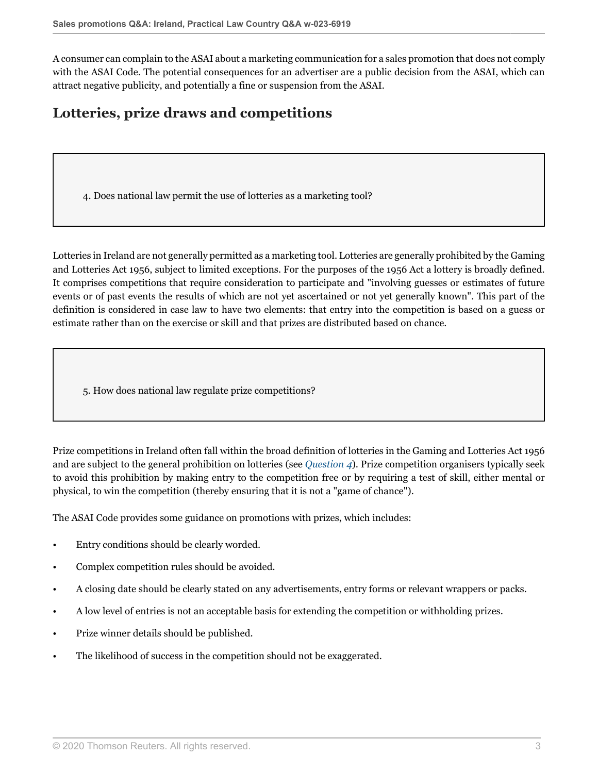A consumer can complain to the ASAI about a marketing communication for a sales promotion that does not comply with the ASAI Code. The potential consequences for an advertiser are a public decision from the ASAI, which can attract negative publicity, and potentially a fine or suspension from the ASAI.

# **Lotteries, prize draws and competitions**

<span id="page-2-0"></span>4. Does national law permit the use of lotteries as a marketing tool?

Lotteries in Ireland are not generally permitted as a marketing tool. Lotteries are generally prohibited by the Gaming and Lotteries Act 1956, subject to limited exceptions. For the purposes of the 1956 Act a lottery is broadly defined. It comprises competitions that require consideration to participate and "involving guesses or estimates of future events or of past events the results of which are not yet ascertained or not yet generally known". This part of the definition is considered in case law to have two elements: that entry into the competition is based on a guess or estimate rather than on the exercise or skill and that prizes are distributed based on chance.

5. How does national law regulate prize competitions?

Prize competitions in Ireland often fall within the broad definition of lotteries in the Gaming and Lotteries Act 1956 and are subject to the general prohibition on lotteries (see *[Question 4](#page-2-0)*). Prize competition organisers typically seek to avoid this prohibition by making entry to the competition free or by requiring a test of skill, either mental or physical, to win the competition (thereby ensuring that it is not a "game of chance").

The ASAI Code provides some guidance on promotions with prizes, which includes:

- Entry conditions should be clearly worded.
- Complex competition rules should be avoided.
- A closing date should be clearly stated on any advertisements, entry forms or relevant wrappers or packs.
- A low level of entries is not an acceptable basis for extending the competition or withholding prizes.
- Prize winner details should be published.
- The likelihood of success in the competition should not be exaggerated.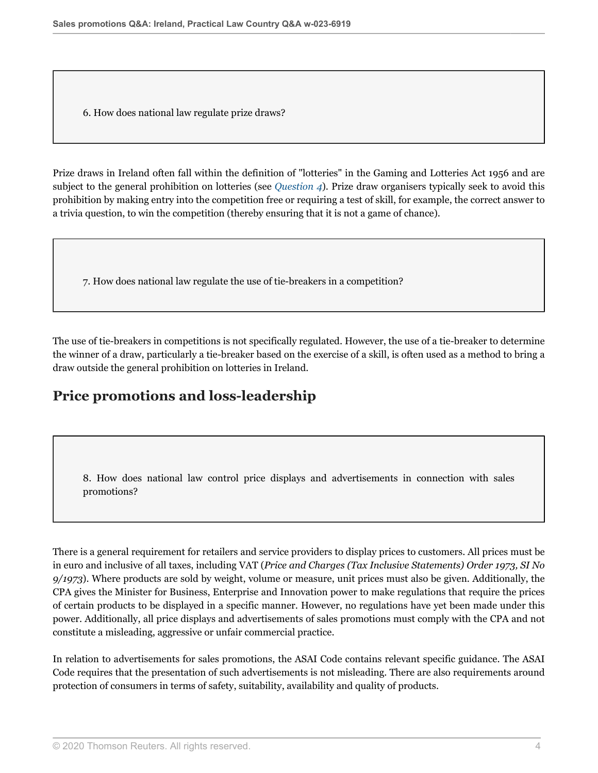6. How does national law regulate prize draws?

Prize draws in Ireland often fall within the definition of "lotteries" in the Gaming and Lotteries Act 1956 and are subject to the general prohibition on lotteries (see *[Question 4](#page-2-0)*). Prize draw organisers typically seek to avoid this prohibition by making entry into the competition free or requiring a test of skill, for example, the correct answer to a trivia question, to win the competition (thereby ensuring that it is not a game of chance).

7. How does national law regulate the use of tie-breakers in a competition?

The use of tie-breakers in competitions is not specifically regulated. However, the use of a tie-breaker to determine the winner of a draw, particularly a tie-breaker based on the exercise of a skill, is often used as a method to bring a draw outside the general prohibition on lotteries in Ireland.

# **Price promotions and loss-leadership**

8. How does national law control price displays and advertisements in connection with sales promotions?

There is a general requirement for retailers and service providers to display prices to customers. All prices must be in euro and inclusive of all taxes, including VAT (*Price and Charges (Tax Inclusive Statements) Order 1973, SI No 9/1973*). Where products are sold by weight, volume or measure, unit prices must also be given. Additionally, the CPA gives the Minister for Business, Enterprise and Innovation power to make regulations that require the prices of certain products to be displayed in a specific manner. However, no regulations have yet been made under this power. Additionally, all price displays and advertisements of sales promotions must comply with the CPA and not constitute a misleading, aggressive or unfair commercial practice.

In relation to advertisements for sales promotions, the ASAI Code contains relevant specific guidance. The ASAI Code requires that the presentation of such advertisements is not misleading. There are also requirements around protection of consumers in terms of safety, suitability, availability and quality of products.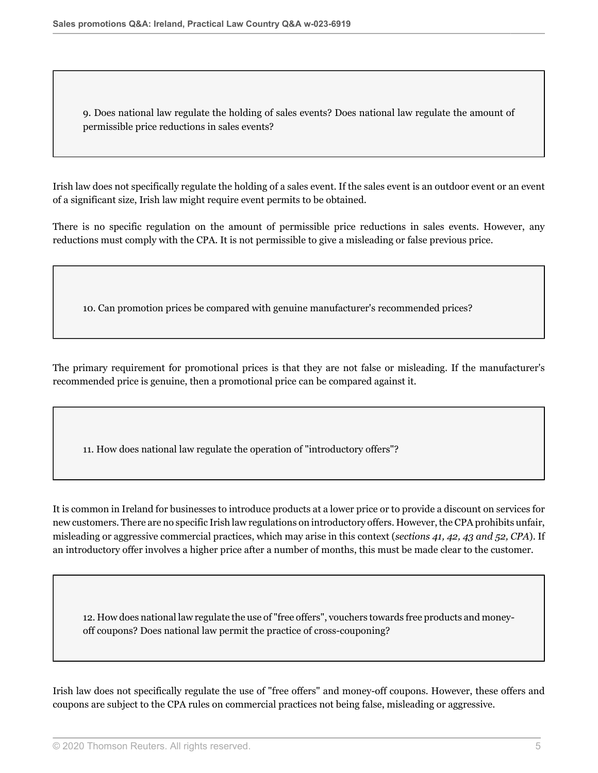9. Does national law regulate the holding of sales events? Does national law regulate the amount of permissible price reductions in sales events?

Irish law does not specifically regulate the holding of a sales event. If the sales event is an outdoor event or an event of a significant size, Irish law might require event permits to be obtained.

There is no specific regulation on the amount of permissible price reductions in sales events. However, any reductions must comply with the CPA. It is not permissible to give a misleading or false previous price.

10. Can promotion prices be compared with genuine manufacturer's recommended prices?

The primary requirement for promotional prices is that they are not false or misleading. If the manufacturer's recommended price is genuine, then a promotional price can be compared against it.

11. How does national law regulate the operation of "introductory offers"?

It is common in Ireland for businesses to introduce products at a lower price or to provide a discount on services for new customers. There are no specific Irish law regulations on introductory offers. However, the CPA prohibits unfair, misleading or aggressive commercial practices, which may arise in this context (*sections 41, 42, 43 and 52, CPA*). If an introductory offer involves a higher price after a number of months, this must be made clear to the customer.

<span id="page-4-0"></span>12. How does national law regulate the use of "free offers", vouchers towards free products and moneyoff coupons? Does national law permit the practice of cross-couponing?

Irish law does not specifically regulate the use of "free offers" and money-off coupons. However, these offers and coupons are subject to the CPA rules on commercial practices not being false, misleading or aggressive.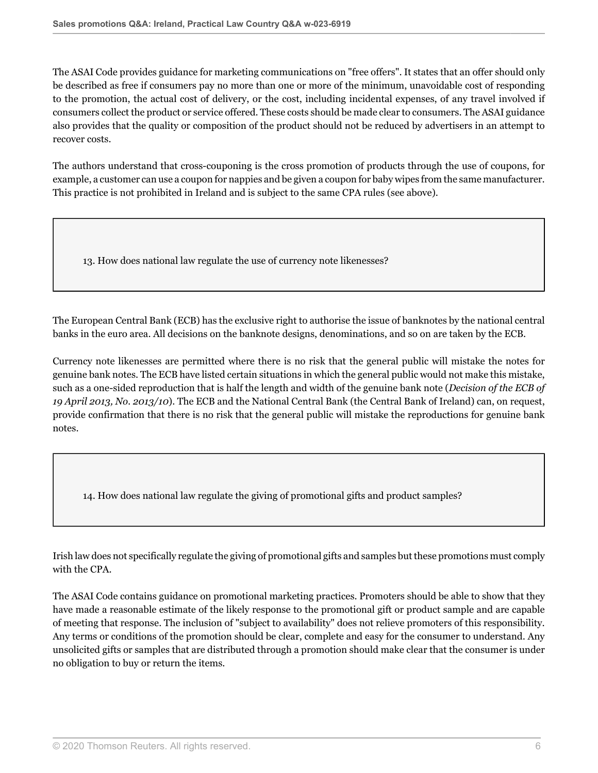The ASAI Code provides guidance for marketing communications on "free offers". It states that an offer should only be described as free if consumers pay no more than one or more of the minimum, unavoidable cost of responding to the promotion, the actual cost of delivery, or the cost, including incidental expenses, of any travel involved if consumers collect the product or service offered. These costs should be made clear to consumers. The ASAI guidance also provides that the quality or composition of the product should not be reduced by advertisers in an attempt to recover costs.

The authors understand that cross-couponing is the cross promotion of products through the use of coupons, for example, a customer can use a coupon for nappies and be given a coupon for baby wipes from the same manufacturer. This practice is not prohibited in Ireland and is subject to the same CPA rules (see above).

13. How does national law regulate the use of currency note likenesses?

The European Central Bank (ECB) has the exclusive right to authorise the issue of banknotes by the national central banks in the euro area. All decisions on the banknote designs, denominations, and so on are taken by the ECB.

Currency note likenesses are permitted where there is no risk that the general public will mistake the notes for genuine bank notes. The ECB have listed certain situations in which the general public would not make this mistake, such as a one-sided reproduction that is half the length and width of the genuine bank note (*Decision of the ECB of 19 April 2013, No. 2013/10*). The ECB and the National Central Bank (the Central Bank of Ireland) can, on request, provide confirmation that there is no risk that the general public will mistake the reproductions for genuine bank notes.

14. How does national law regulate the giving of promotional gifts and product samples?

Irish law does not specifically regulate the giving of promotional gifts and samples but these promotions must comply with the CPA.

The ASAI Code contains guidance on promotional marketing practices. Promoters should be able to show that they have made a reasonable estimate of the likely response to the promotional gift or product sample and are capable of meeting that response. The inclusion of "subject to availability" does not relieve promoters of this responsibility. Any terms or conditions of the promotion should be clear, complete and easy for the consumer to understand. Any unsolicited gifts or samples that are distributed through a promotion should make clear that the consumer is under no obligation to buy or return the items.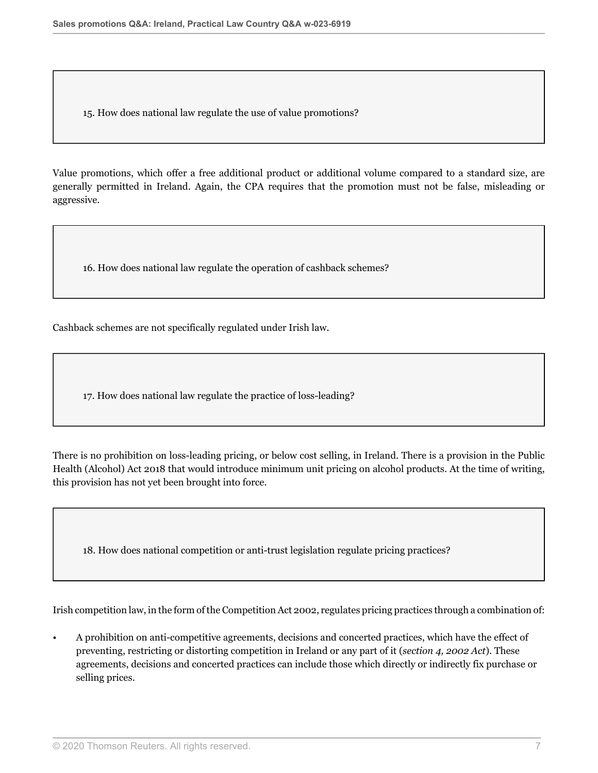15. How does national law regulate the use of value promotions?

Value promotions, which offer a free additional product or additional volume compared to a standard size, are generally permitted in Ireland. Again, the CPA requires that the promotion must not be false, misleading or aggressive.

16. How does national law regulate the operation of cashback schemes?

Cashback schemes are not specifically regulated under Irish law.

17. How does national law regulate the practice of loss-leading?

There is no prohibition on loss-leading pricing, or below cost selling, in Ireland. There is a provision in the Public Health (Alcohol) Act 2018 that would introduce minimum unit pricing on alcohol products. At the time of writing, this provision has not yet been brought into force.

18. How does national competition or anti-trust legislation regulate pricing practices?

Irish competition law, in the form of the Competition Act 2002, regulates pricing practices through a combination of:

• A prohibition on anti-competitive agreements, decisions and concerted practices, which have the effect of preventing, restricting or distorting competition in Ireland or any part of it (*section 4, 2002 Act*). These agreements, decisions and concerted practices can include those which directly or indirectly fix purchase or selling prices.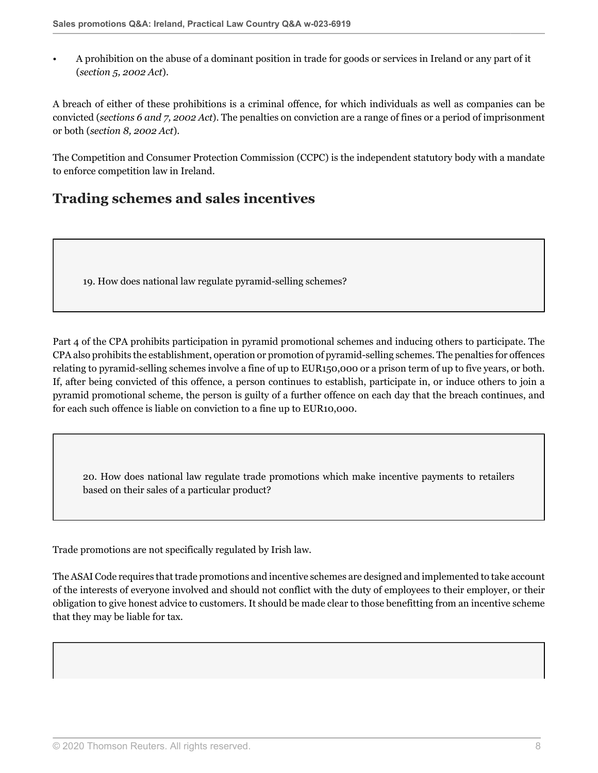• A prohibition on the abuse of a dominant position in trade for goods or services in Ireland or any part of it (*section 5, 2002 Act*).

A breach of either of these prohibitions is a criminal offence, for which individuals as well as companies can be convicted (*sections 6 and 7, 2002 Act*). The penalties on conviction are a range of fines or a period of imprisonment or both (*section 8, 2002 Act*).

The Competition and Consumer Protection Commission (CCPC) is the independent statutory body with a mandate to enforce competition law in Ireland.

# **Trading schemes and sales incentives**

19. How does national law regulate pyramid-selling schemes?

Part 4 of the CPA prohibits participation in pyramid promotional schemes and inducing others to participate. The CPA also prohibits the establishment, operation or promotion of pyramid-selling schemes. The penalties for offences relating to pyramid-selling schemes involve a fine of up to EUR150,000 or a prison term of up to five years, or both. If, after being convicted of this offence, a person continues to establish, participate in, or induce others to join a pyramid promotional scheme, the person is guilty of a further offence on each day that the breach continues, and for each such offence is liable on conviction to a fine up to EUR10,000.

20. How does national law regulate trade promotions which make incentive payments to retailers based on their sales of a particular product?

Trade promotions are not specifically regulated by Irish law.

The ASAI Code requires that trade promotions and incentive schemes are designed and implemented to take account of the interests of everyone involved and should not conflict with the duty of employees to their employer, or their obligation to give honest advice to customers. It should be made clear to those benefitting from an incentive scheme that they may be liable for tax.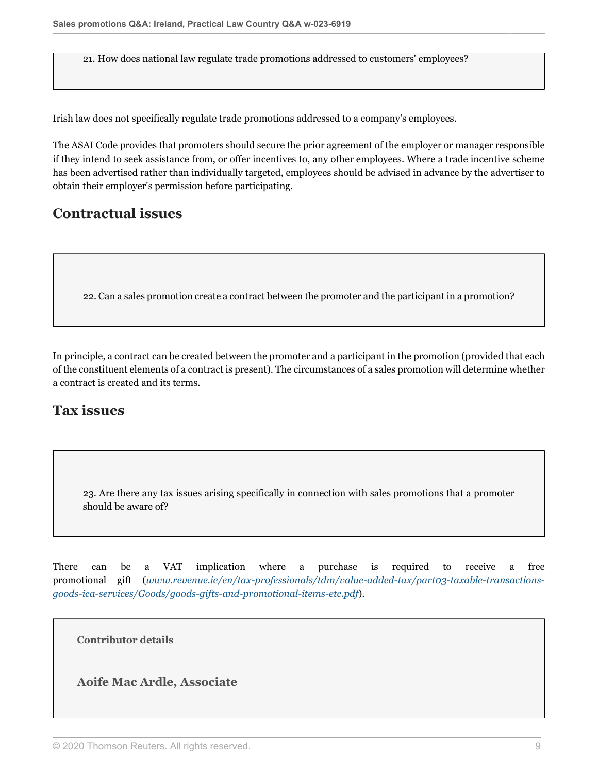21. How does national law regulate trade promotions addressed to customers' employees?

Irish law does not specifically regulate trade promotions addressed to a company's employees.

The ASAI Code provides that promoters should secure the prior agreement of the employer or manager responsible if they intend to seek assistance from, or offer incentives to, any other employees. Where a trade incentive scheme has been advertised rather than individually targeted, employees should be advised in advance by the advertiser to obtain their employer's permission before participating.

## **Contractual issues**

22. Can a sales promotion create a contract between the promoter and the participant in a promotion?

In principle, a contract can be created between the promoter and a participant in the promotion (provided that each of the constituent elements of a contract is present). The circumstances of a sales promotion will determine whether a contract is created and its terms.

# **Tax issues**

23. Are there any tax issues arising specifically in connection with sales promotions that a promoter should be aware of?

There can be a VAT implication where a purchase is required to receive a free promotional gift (*[www.revenue.ie/en/tax-professionals/tdm/value-added-tax/part03-taxable-transactions](http://www.revenue.ie/en/tax-professionals/tdm/value-added-tax/part03-taxable-transactions-goods-ica-services/Goods/goods-gifts-and-promotional-items-etc.pdf)[goods-ica-services/Goods/goods-gifts-and-promotional-items-etc.pdf](http://www.revenue.ie/en/tax-professionals/tdm/value-added-tax/part03-taxable-transactions-goods-ica-services/Goods/goods-gifts-and-promotional-items-etc.pdf)*).

**Contributor details**

**Aoife Mac Ardle, Associate**